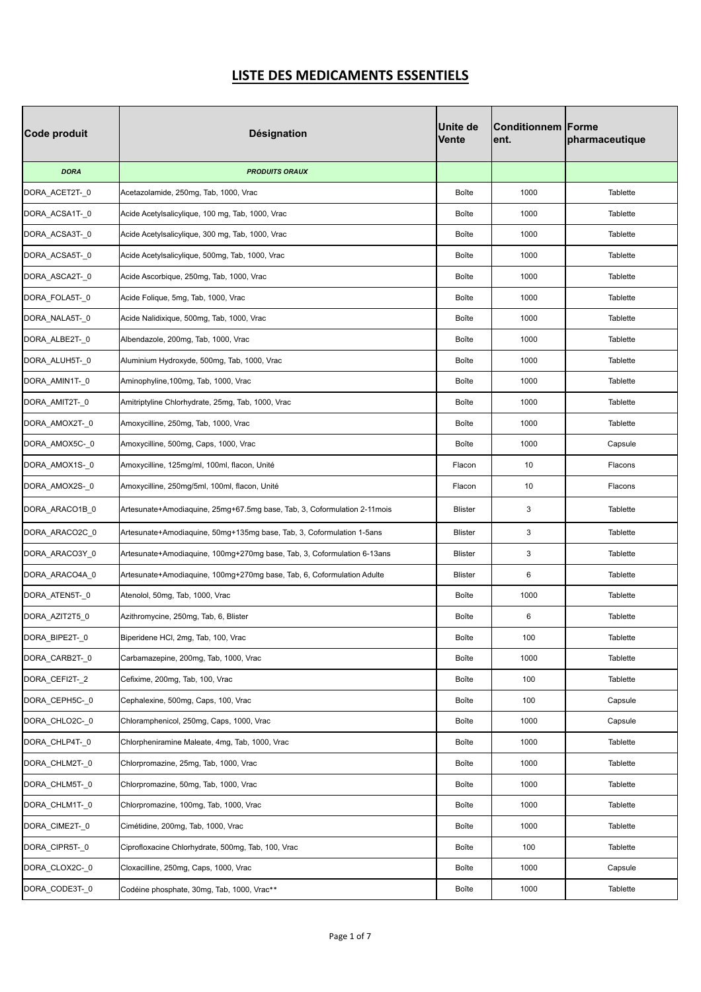| Code produit   | <b>Désignation</b>                                                       | <b>Unite de</b><br><b>Vente</b> | <b>Conditionnem Forme</b><br>lent. | pharmaceutique |
|----------------|--------------------------------------------------------------------------|---------------------------------|------------------------------------|----------------|
| <b>DORA</b>    | <b>PRODUITS ORAUX</b>                                                    |                                 |                                    |                |
| DORA_ACET2T-_0 | Acetazolamide, 250mg, Tab, 1000, Vrac                                    | Boîte                           | 1000                               | Tablette       |
| DORA_ACSA1T-_0 | Acide Acetylsalicylique, 100 mg, Tab, 1000, Vrac                         | Boîte                           | 1000                               | Tablette       |
| DORA_ACSA3T-_0 | Acide Acetylsalicylique, 300 mg, Tab, 1000, Vrac                         | Boîte                           | 1000                               | Tablette       |
| DORA_ACSA5T-_0 | Acide Acetylsalicylique, 500mg, Tab, 1000, Vrac                          | Boîte                           | 1000                               | Tablette       |
| DORA_ASCA2T-_0 | Acide Ascorbique, 250mg, Tab, 1000, Vrac                                 | Boîte                           | 1000                               | Tablette       |
| DORA_FOLA5T-0  | Acide Folique, 5mg, Tab, 1000, Vrac                                      | Boîte                           | 1000                               | Tablette       |
| DORA_NALA5T-_0 | Acide Nalidixique, 500mg, Tab, 1000, Vrac                                | Boîte                           | 1000                               | Tablette       |
| DORA_ALBE2T-_0 | Albendazole, 200mg, Tab, 1000, Vrac                                      | Boîte                           | 1000                               | Tablette       |
| DORA_ALUH5T-_0 | Aluminium Hydroxyde, 500mg, Tab, 1000, Vrac                              | Boîte                           | 1000                               | Tablette       |
| DORA_AMIN1T-_0 | Aminophyline, 100mg, Tab, 1000, Vrac                                     | Boîte                           | 1000                               | Tablette       |
| DORA_AMIT2T-_0 | Amitriptyline Chlorhydrate, 25mg, Tab, 1000, Vrac                        | Boîte                           | 1000                               | Tablette       |
| DORA_AMOX2T-_0 | Amoxycilline, 250mg, Tab, 1000, Vrac                                     | Boîte                           | 1000                               | Tablette       |
| DORA_AMOX5C-_0 | Amoxycilline, 500mg, Caps, 1000, Vrac                                    | Boîte                           | 1000                               | Capsule        |
| DORA_AMOX1S-_0 | Amoxycilline, 125mg/ml, 100ml, flacon, Unité                             | Flacon                          | 10                                 | Flacons        |
| DORA_AMOX2S-_0 | Amoxycilline, 250mg/5ml, 100ml, flacon, Unité                            | Flacon                          | 10                                 | Flacons        |
| DORA_ARACO1B_0 | Artesunate+Amodiaquine, 25mg+67.5mg base, Tab, 3, Coformulation 2-11mois | <b>Blister</b>                  | 3                                  | Tablette       |
| DORA_ARACO2C_0 | Artesunate+Amodiaquine, 50mg+135mg base, Tab, 3, Coformulation 1-5ans    | Blister                         | 3                                  | Tablette       |
| DORA_ARACO3Y_0 | Artesunate+Amodiaquine, 100mg+270mg base, Tab, 3, Coformulation 6-13ans  | <b>Blister</b>                  | 3                                  | Tablette       |
| DORA_ARACO4A_0 | Artesunate+Amodiaquine, 100mg+270mg base, Tab, 6, Coformulation Adulte   | <b>Blister</b>                  | 6                                  | Tablette       |
| DORA_ATEN5T-_0 | Atenolol, 50mg, Tab, 1000, Vrac                                          | Boîte                           | 1000                               | Tablette       |
| DORA AZIT2T5 0 | Azithromycine, 250mg, Tab, 6, Blister                                    | Boîte                           | 6                                  | Tablette       |
| DORA_BIPE2T-_0 | Biperidene HCI, 2mg, Tab, 100, Vrac                                      | Boîte                           | 100                                | Tablette       |
| DORA CARB2T-0  | Carbamazepine, 200mg, Tab, 1000, Vrac                                    | Boîte                           | 1000                               | Tablette       |
| DORA CEFI2T-2  | Cefixime, 200mg, Tab, 100, Vrac                                          | Boîte                           | 100                                | Tablette       |
| DORA CEPH5C-0  | Cephalexine, 500mg, Caps, 100, Vrac                                      | Boîte                           | 100                                | Capsule        |
| DORA CHLO2C-0  | Chloramphenicol, 250mg, Caps, 1000, Vrac                                 | Boîte                           | 1000                               | Capsule        |
| DORA CHLP4T-0  | Chlorpheniramine Maleate, 4mg, Tab, 1000, Vrac                           | Boîte                           | 1000                               | Tablette       |
| DORA_CHLM2T-_0 | Chlorpromazine, 25mg, Tab, 1000, Vrac                                    | Boîte                           | 1000                               | Tablette       |
| DORA CHLM5T-0  | Chlorpromazine, 50mg, Tab, 1000, Vrac                                    | Boîte                           | 1000                               | Tablette       |
| DORA_CHLM1T-_0 | Chlorpromazine, 100mg, Tab, 1000, Vrac                                   | Boîte                           | 1000                               | Tablette       |
| DORA_CIME2T-_0 | Cimétidine, 200mg, Tab, 1000, Vrac                                       | Boîte                           | 1000                               | Tablette       |
| DORA_CIPR5T-_0 | Ciprofloxacine Chlorhydrate, 500mg, Tab, 100, Vrac                       | Boîte                           | 100                                | Tablette       |
| DORA_CLOX2C-_0 | Cloxacilline, 250mg, Caps, 1000, Vrac                                    | Boîte                           | 1000                               | Capsule        |
| DORA_CODE3T-_0 | Codéine phosphate, 30mg, Tab, 1000, Vrac**                               | Boîte                           | 1000                               | Tablette       |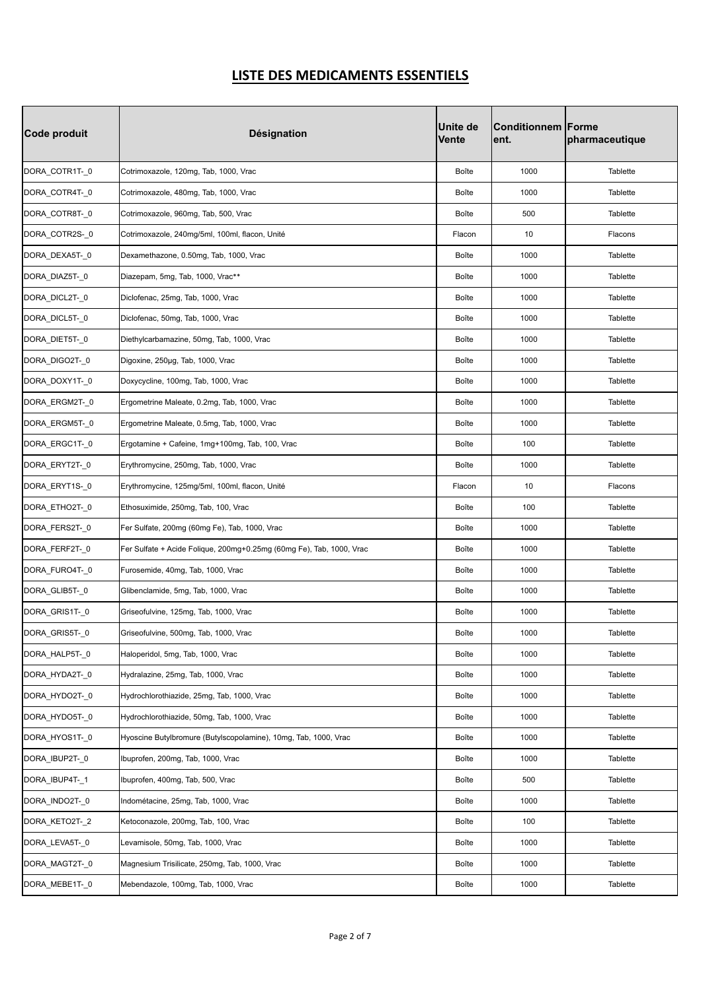| Code produit   | <b>Désignation</b>                                                   | <b>Unite de</b><br><b>Vente</b> | <b>Conditionnem Forme</b><br>ent. | pharmaceutique  |
|----------------|----------------------------------------------------------------------|---------------------------------|-----------------------------------|-----------------|
| DORA_COTR1T-_0 | Cotrimoxazole, 120mg, Tab, 1000, Vrac                                | Boîte                           | 1000                              | Tablette        |
| DORA_COTR4T-_0 | Cotrimoxazole, 480mg, Tab, 1000, Vrac                                | Boîte                           | 1000                              | Tablette        |
| DORA_COTR8T-_0 | Cotrimoxazole, 960mg, Tab, 500, Vrac                                 | Boîte                           | 500                               | Tablette        |
| DORA_COTR2S-_0 | Cotrimoxazole, 240mg/5ml, 100ml, flacon, Unité                       | Flacon                          | 10                                | Flacons         |
| DORA_DEXA5T-_0 | Dexamethazone, 0.50mg, Tab, 1000, Vrac                               | Boîte                           | 1000                              | Tablette        |
| DORA_DIAZ5T-_0 | Diazepam, 5mg, Tab, 1000, Vrac**                                     | Boîte                           | 1000                              | Tablette        |
| DORA_DICL2T-_0 | Diclofenac, 25mg, Tab, 1000, Vrac                                    | Boîte                           | 1000                              | <b>Tablette</b> |
| DORA_DICL5T-_0 | Diclofenac, 50mg, Tab, 1000, Vrac                                    | Boîte                           | 1000                              | Tablette        |
| DORA_DIET5T-_0 | Diethylcarbamazine, 50mg, Tab, 1000, Vrac                            | Boîte                           | 1000                              | Tablette        |
| DORA_DIGO2T-_0 | Digoxine, 250µg, Tab, 1000, Vrac                                     | Boîte                           | 1000                              | Tablette        |
| DORA_DOXY1T-_0 | Doxycycline, 100mg, Tab, 1000, Vrac                                  | Boîte                           | 1000                              | Tablette        |
| DORA_ERGM2T-_0 | Ergometrine Maleate, 0.2mg, Tab, 1000, Vrac                          | Boîte                           | 1000                              | Tablette        |
| DORA_ERGM5T-_0 | Ergometrine Maleate, 0.5mg, Tab, 1000, Vrac                          | Boîte                           | 1000                              | Tablette        |
| DORA ERGC1T-0  | Ergotamine + Cafeine, 1mg+100mg, Tab, 100, Vrac                      | Boîte                           | 100                               | Tablette        |
| DORA_ERYT2T-_0 | Erythromycine, 250mg, Tab, 1000, Vrac                                | Boîte                           | 1000                              | Tablette        |
| DORA_ERYT1S-_0 | Erythromycine, 125mg/5ml, 100ml, flacon, Unité                       | Flacon                          | 10                                | Flacons         |
| DORA_ETHO2T-_0 | Ethosuximide, 250mg, Tab, 100, Vrac                                  | Boîte                           | 100                               | Tablette        |
| DORA_FERS2T-_0 | Fer Sulfate, 200mg (60mg Fe), Tab, 1000, Vrac                        | Boîte                           | 1000                              | Tablette        |
| DORA_FERF2T-_0 | Fer Sulfate + Acide Folique, 200mg+0.25mg (60mg Fe), Tab, 1000, Vrac | Boîte                           | 1000                              | Tablette        |
| DORA FURO4T-0  | Furosemide, 40mg, Tab, 1000, Vrac                                    | Boîte                           | 1000                              | Tablette        |
| DORA_GLIB5T-_0 | Glibenclamide, 5mg, Tab, 1000, Vrac                                  | Boîte                           | 1000                              | Tablette        |
| DORA GRIS1T-0  | Griseofulvine, 125mg, Tab, 1000, Vrac                                | Boîte                           | 1000                              | Tablette        |
| DORA_GRIS5T-_0 | Griseofulvine, 500mg, Tab, 1000, Vrac                                | Boîte                           | 1000                              | Tablette        |
| DORA HALP5T-0  | Haloperidol, 5mg, Tab, 1000, Vrac                                    | Boîte                           | 1000                              | Tablette        |
| DORA HYDA2T- 0 | Hydralazine, 25mg, Tab, 1000, Vrac                                   | Boîte                           | 1000                              | Tablette        |
| DORA_HYDO2T-_0 | Hydrochlorothiazide, 25mg, Tab, 1000, Vrac                           | Boîte                           | 1000                              | Tablette        |
| DORA_HYDO5T-_0 | Hydrochlorothiazide, 50mg, Tab, 1000, Vrac                           | Boîte                           | 1000                              | Tablette        |
| DORA_HYOS1T-_0 | Hyoscine Butylbromure (Butylscopolamine), 10mg, Tab, 1000, Vrac      | Boîte                           | 1000                              | Tablette        |
| DORA_IBUP2T-_0 | Ibuprofen, 200mg, Tab, 1000, Vrac                                    | Boîte                           | 1000                              | Tablette        |
| DORA_IBUP4T-1  | Ibuprofen, 400mg, Tab, 500, Vrac                                     | Boîte                           | 500                               | Tablette        |
| DORA_INDO2T-_0 | Indométacine, 25mg, Tab, 1000, Vrac                                  | Boîte                           | 1000                              | Tablette        |
| DORA_KETO2T-_2 | Ketoconazole, 200mg, Tab, 100, Vrac                                  | Boîte                           | 100                               | Tablette        |
| DORA_LEVA5T-_0 | Levamisole, 50mg, Tab, 1000, Vrac                                    | Boîte                           | 1000                              | Tablette        |
| DORA_MAGT2T-_0 | Magnesium Trisilicate, 250mg, Tab, 1000, Vrac                        | Boîte                           | 1000                              | Tablette        |
| DORA_MEBE1T-_0 | Mebendazole, 100mg, Tab, 1000, Vrac                                  | Boîte                           | 1000                              | Tablette        |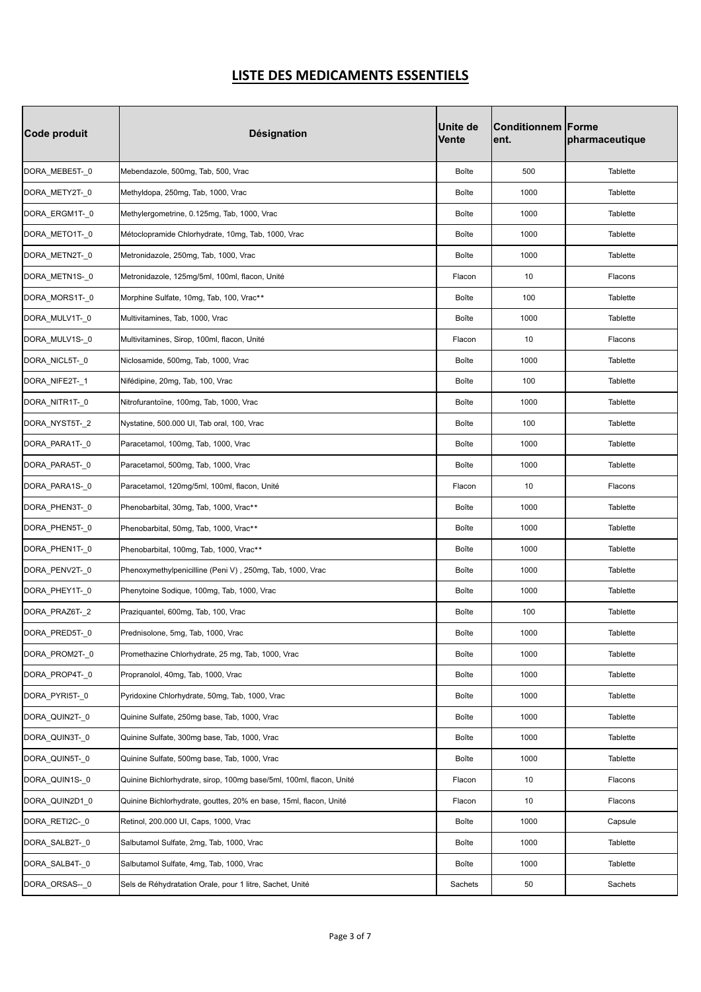| Code produit   | <b>Désignation</b>                                                  | <b>Unite de</b><br><b>Vente</b> | <b>Conditionnem Forme</b><br>ent. | pharmaceutique |
|----------------|---------------------------------------------------------------------|---------------------------------|-----------------------------------|----------------|
| DORA_MEBE5T-_0 | Mebendazole, 500mg, Tab, 500, Vrac                                  | Boîte                           | 500                               | Tablette       |
| DORA_METY2T-_0 | Methyldopa, 250mg, Tab, 1000, Vrac                                  | Boîte                           | 1000                              | Tablette       |
| DORA_ERGM1T-_0 | Methylergometrine, 0.125mg, Tab, 1000, Vrac                         | Boîte                           | 1000                              | Tablette       |
| DORA_METO1T-_0 | Métoclopramide Chlorhydrate, 10mg, Tab, 1000, Vrac                  | Boîte                           | 1000                              | Tablette       |
| DORA_METN2T-_0 | Metronidazole, 250mg, Tab, 1000, Vrac                               | Boîte                           | 1000                              | Tablette       |
| DORA_METN1S-_0 | Metronidazole, 125mg/5ml, 100ml, flacon, Unité                      | Flacon                          | 10                                | Flacons        |
| DORA_MORS1T-_0 | Morphine Sulfate, 10mg, Tab, 100, Vrac**                            | Boîte                           | 100                               | Tablette       |
| DORA_MULV1T-_0 | Multivitamines, Tab, 1000, Vrac                                     | Boîte                           | 1000                              | Tablette       |
| DORA MULV1S-0  | Multivitamines, Sirop, 100ml, flacon, Unité                         | Flacon                          | 10                                | Flacons        |
| DORA_NICL5T-_0 | Niclosamide, 500mg, Tab, 1000, Vrac                                 | Boîte                           | 1000                              | Tablette       |
| DORA_NIFE2T-_1 | Nifédipine, 20mg, Tab, 100, Vrac                                    | Boîte                           | 100                               | Tablette       |
| DORA_NITR1T-_0 | Nitrofurantoïne, 100mg, Tab, 1000, Vrac                             | Boîte                           | 1000                              | Tablette       |
| DORA_NYST5T-_2 | Nystatine, 500.000 UI, Tab oral, 100, Vrac                          | Boîte                           | 100                               | Tablette       |
| DORA PARA1T-0  | Paracetamol, 100mg, Tab, 1000, Vrac                                 | Boîte                           | 1000                              | Tablette       |
| DORA_PARA5T-_0 | Paracetamol, 500mg, Tab, 1000, Vrac                                 | Boîte                           | 1000                              | Tablette       |
| DORA_PARA1S-_0 | Paracetamol, 120mg/5ml, 100ml, flacon, Unité                        | Flacon                          | 10                                | Flacons        |
| DORA_PHEN3T-_0 | Phenobarbital, 30mg, Tab, 1000, Vrac**                              | Boîte                           | 1000                              | Tablette       |
| DORA_PHEN5T-_0 | Phenobarbital, 50mg, Tab, 1000, Vrac**                              | Boîte                           | 1000                              | Tablette       |
| DORA_PHEN1T-_0 | Phenobarbital, 100mg, Tab, 1000, Vrac**                             | Boîte                           | 1000                              | Tablette       |
| DORA_PENV2T-_0 | Phenoxymethylpenicilline (Peni V), 250mg, Tab, 1000, Vrac           | Boîte                           | 1000                              | Tablette       |
| DORA_PHEY1T-_0 | Phenytoine Sodique, 100mg, Tab, 1000, Vrac                          | Boîte                           | 1000                              | Tablette       |
| DORA_PRAZ6T-_2 | Praziquantel, 600mg, Tab, 100, Vrac                                 | Boîte                           | 100                               | Tablette       |
| DORA_PRED5T-_0 | Prednisolone, 5mg, Tab, 1000, Vrac                                  | Boîte                           | 1000                              | Tablette       |
| DORA PROM2T-0  | Promethazine Chlorhydrate, 25 mg, Tab, 1000, Vrac                   | Boîte                           | 1000                              | Tablette       |
| DORA PROP4T-0  | Propranolol, 40mg, Tab, 1000, Vrac                                  | Boîte                           | 1000                              | Tablette       |
| DORA_PYRI5T-_0 | Pyridoxine Chlorhydrate, 50mg, Tab, 1000, Vrac                      | Boîte                           | 1000                              | Tablette       |
| DORA_QUIN2T-_0 | Quinine Sulfate, 250mg base, Tab, 1000, Vrac                        | Boîte                           | 1000                              | Tablette       |
| DORA_QUIN3T-_0 | Quinine Sulfate, 300mg base, Tab, 1000, Vrac                        | Boîte                           | 1000                              | Tablette       |
| DORA_QUIN5T-_0 | Quinine Sulfate, 500mg base, Tab, 1000, Vrac                        | Boîte                           | 1000                              | Tablette       |
| DORA_QUIN1S-_0 | Quinine Bichlorhydrate, sirop, 100mg base/5ml, 100ml, flacon, Unité | Flacon                          | 10                                | Flacons        |
| DORA_QUIN2D1_0 | Quinine Bichlorhydrate, gouttes, 20% en base, 15ml, flacon, Unité   | Flacon                          | 10                                | Flacons        |
| DORA_RETI2C-_0 | Retinol, 200.000 UI, Caps, 1000, Vrac                               | Boîte                           | 1000                              | Capsule        |
| DORA_SALB2T-_0 | Salbutamol Sulfate, 2mg, Tab, 1000, Vrac                            | Boîte                           | 1000                              | Tablette       |
| DORA_SALB4T-_0 | Salbutamol Sulfate, 4mg, Tab, 1000, Vrac                            | Boîte                           | 1000                              | Tablette       |
| DORA_ORSAS--_0 | Sels de Réhydratation Orale, pour 1 litre, Sachet, Unité            | Sachets                         | 50                                | Sachets        |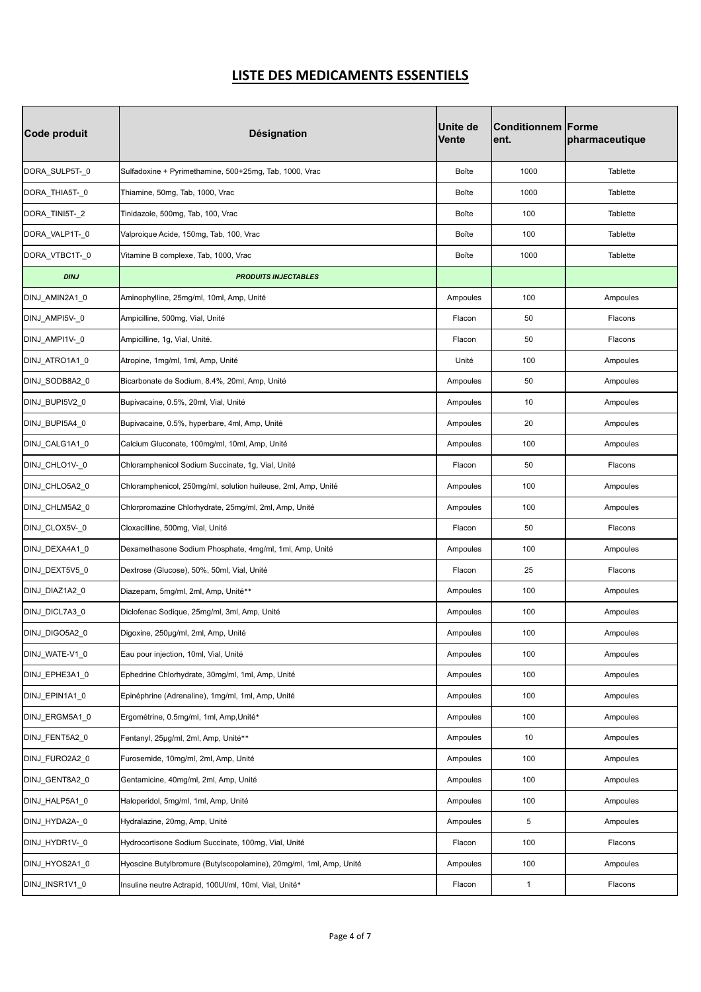| Code produit   | <b>Désignation</b>                                                 | <b>Unite de</b><br><b>Vente</b> | <b>Conditionnem Forme</b><br>ent. | pharmaceutique |
|----------------|--------------------------------------------------------------------|---------------------------------|-----------------------------------|----------------|
| DORA_SULP5T-_0 | Sulfadoxine + Pyrimethamine, 500+25mg, Tab, 1000, Vrac             | Boîte                           | 1000                              | Tablette       |
| DORA_THIA5T-_0 | Thiamine, 50mg, Tab, 1000, Vrac                                    | Boîte                           | 1000                              | Tablette       |
| DORA_TINI5T-_2 | Tinidazole, 500mg, Tab, 100, Vrac                                  | Boîte                           | 100                               | Tablette       |
| DORA_VALP1T-_0 | Valproique Acide, 150mg, Tab, 100, Vrac                            | Boîte                           | 100                               | Tablette       |
| DORA_VTBC1T-_0 | Vitamine B complexe, Tab, 1000, Vrac                               | Boîte                           | 1000                              | Tablette       |
| <b>DINJ</b>    | <b>PRODUITS INJECTABLES</b>                                        |                                 |                                   |                |
| DINJ_AMIN2A1_0 | Aminophylline, 25mg/ml, 10ml, Amp, Unité                           | Ampoules                        | 100                               | Ampoules       |
| DINJ_AMPI5V-_0 | Ampicilline, 500mg, Vial, Unité                                    | Flacon                          | 50                                | Flacons        |
| DINJ_AMPI1V-_0 | Ampicilline, 1g, Vial, Unité.                                      | Flacon                          | 50                                | Flacons        |
| DINJ_ATRO1A1_0 | Atropine, 1mg/ml, 1ml, Amp, Unité                                  | Unité                           | 100                               | Ampoules       |
| DINJ SODB8A2 0 | Bicarbonate de Sodium, 8.4%, 20ml, Amp, Unité                      | Ampoules                        | 50                                | Ampoules       |
| DINJ BUPI5V2 0 | Bupivacaine, 0.5%, 20ml, Vial, Unité                               | Ampoules                        | 10                                | Ampoules       |
| DINJ_BUPI5A4_0 | Bupivacaine, 0.5%, hyperbare, 4ml, Amp, Unité                      | Ampoules                        | 20                                | Ampoules       |
| DINJ CALG1A1 0 | Calcium Gluconate, 100mg/ml, 10ml, Amp, Unité                      | Ampoules                        | 100                               | Ampoules       |
| DINJ_CHLO1V-_0 | Chloramphenicol Sodium Succinate, 1g, Vial, Unité                  | Flacon                          | 50                                | Flacons        |
| DINJ_CHLO5A2_0 | Chloramphenicol, 250mg/ml, solution huileuse, 2ml, Amp, Unité      | Ampoules                        | 100                               | Ampoules       |
| DINJ_CHLM5A2_0 | Chlorpromazine Chlorhydrate, 25mg/ml, 2ml, Amp, Unité              | Ampoules                        | 100                               | Ampoules       |
| DINJ_CLOX5V-_0 | Cloxacilline, 500mg, Vial, Unité                                   | Flacon                          | 50                                | Flacons        |
| DINJ_DEXA4A1_0 | Dexamethasone Sodium Phosphate, 4mg/ml, 1ml, Amp, Unité            | Ampoules                        | 100                               | Ampoules       |
| DINJ_DEXT5V5_0 | Dextrose (Glucose), 50%, 50ml, Vial, Unité                         | Flacon                          | 25                                | Flacons        |
| DINJ_DIAZ1A2_0 | Diazepam, 5mg/ml, 2ml, Amp, Unité**                                | Ampoules                        | 100                               | Ampoules       |
| DINJ DICL7A3 0 | Diclofenac Sodique, 25mg/ml, 3ml, Amp, Unité                       | Ampoules                        | 100                               | Ampoules       |
| DINJ_DIGO5A2_0 | Digoxine, 250µg/ml, 2ml, Amp, Unité                                | Ampoules                        | 100                               | Ampoules       |
| DINJ_WATE-V1_0 | Eau pour injection, 10ml, Vial, Unité                              | Ampoules                        | 100                               | Ampoules       |
| DINJ_EPHE3A1_0 | Ephedrine Chlorhydrate, 30mg/ml, 1ml, Amp, Unité                   | Ampoules                        | 100                               | Ampoules       |
| DINJ_EPIN1A1_0 | Epinéphrine (Adrenaline), 1mg/ml, 1ml, Amp, Unité                  | Ampoules                        | 100                               | Ampoules       |
| DINJ_ERGM5A1_0 | Ergométrine, 0.5mg/ml, 1ml, Amp, Unité*                            | Ampoules                        | 100                               | Ampoules       |
| DINJ_FENT5A2_0 | Fentanyl, 25µg/ml, 2ml, Amp, Unité**                               | Ampoules                        | 10                                | Ampoules       |
| DINJ_FURO2A2_0 | Furosemide, 10mg/ml, 2ml, Amp, Unité                               | Ampoules                        | 100                               | Ampoules       |
| DINJ_GENT8A2_0 | Gentamicine, 40mg/ml, 2ml, Amp, Unité                              | Ampoules                        | 100                               | Ampoules       |
| DINJ_HALP5A1_0 | Haloperidol, 5mg/ml, 1ml, Amp, Unité                               | Ampoules                        | 100                               | Ampoules       |
| DINJ_HYDA2A-_0 | Hydralazine, 20mg, Amp, Unité                                      | Ampoules                        | 5                                 | Ampoules       |
| DINJ_HYDR1V-_0 | Hydrocortisone Sodium Succinate, 100mg, Vial, Unité                | Flacon                          | 100                               | Flacons        |
| DINJ_HYOS2A1_0 | Hyoscine Butylbromure (Butylscopolamine), 20mg/ml, 1ml, Amp, Unité | Ampoules                        | 100                               | Ampoules       |
| DINJ_INSR1V1_0 | Insuline neutre Actrapid, 100UI/ml, 10ml, Vial, Unité*             | Flacon                          | $\mathbf{1}$                      | Flacons        |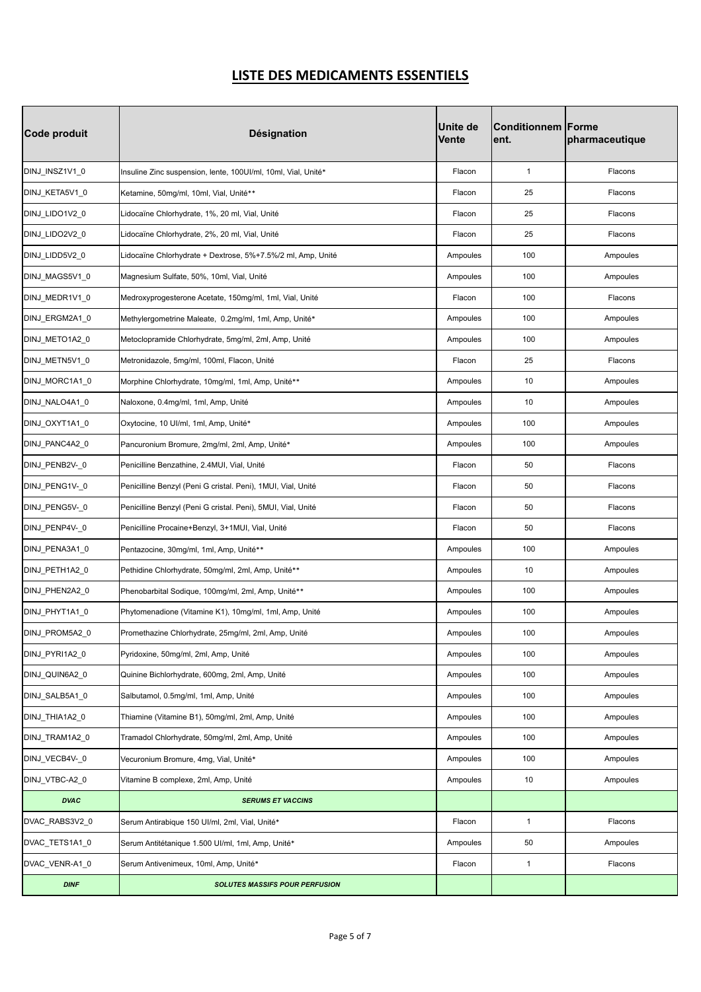| Code produit   | <b>Désignation</b>                                            | <b>Unite de</b><br>Vente | <b>Conditionnem   Forme</b><br>ent. | pharmaceutique |
|----------------|---------------------------------------------------------------|--------------------------|-------------------------------------|----------------|
| DINJ_INSZ1V1_0 | Insuline Zinc suspension, lente, 100UI/ml, 10ml, Vial, Unité* | Flacon                   | $\mathbf{1}$                        | Flacons        |
| DINJ_KETA5V1_0 | Ketamine, 50mg/ml, 10ml, Vial, Unité**                        | Flacon                   | 25                                  | Flacons        |
| DINJ_LIDO1V2_0 | Lidocaïne Chlorhydrate, 1%, 20 ml, Vial, Unité                | Flacon                   | 25                                  | Flacons        |
| DINJ_LIDO2V2_0 | Lidocaïne Chlorhydrate, 2%, 20 ml, Vial, Unité                | Flacon                   | 25                                  | Flacons        |
| DINJ LIDD5V2 0 | Lidocaïne Chlorhydrate + Dextrose, 5%+7.5%/2 ml, Amp, Unité   | Ampoules                 | 100                                 | Ampoules       |
| DINJ_MAGS5V1_0 | Magnesium Sulfate, 50%, 10ml, Vial, Unité                     | Ampoules                 | 100                                 | Ampoules       |
| DINJ_MEDR1V1_0 | Medroxyprogesterone Acetate, 150mg/ml, 1ml, Vial, Unité       | Flacon                   | 100                                 | Flacons        |
| DINJ_ERGM2A1_0 | Methylergometrine Maleate, 0.2mg/ml, 1ml, Amp, Unité*         | Ampoules                 | 100                                 | Ampoules       |
| DINJ_METO1A2_0 | Metoclopramide Chlorhydrate, 5mg/ml, 2ml, Amp, Unité          | Ampoules                 | 100                                 | Ampoules       |
| DINJ METN5V1 0 | Metronidazole, 5mg/ml, 100ml, Flacon, Unité                   | Flacon                   | 25                                  | Flacons        |
| DINJ_MORC1A1_0 | Morphine Chlorhydrate, 10mg/ml, 1ml, Amp, Unité**             | Ampoules                 | 10                                  | Ampoules       |
| DINJ NALO4A1 0 | Naloxone, 0.4mg/ml, 1ml, Amp, Unité                           | Ampoules                 | 10                                  | Ampoules       |
| DINJ_OXYT1A1_0 | Oxytocine, 10 Ul/ml, 1ml, Amp, Unité*                         | Ampoules                 | 100                                 | Ampoules       |
| DINJ_PANC4A2_0 | Pancuronium Bromure, 2mg/ml, 2ml, Amp, Unité*                 | Ampoules                 | 100                                 | Ampoules       |
| DINJ_PENB2V-_0 | Penicilline Benzathine, 2.4MUI, Vial, Unité                   | Flacon                   | 50                                  | Flacons        |
| DINJ_PENG1V-_0 | Penicilline Benzyl (Peni G cristal. Peni), 1MUI, Vial, Unité  | Flacon                   | 50                                  | Flacons        |
| DINJ_PENG5V-_0 | Penicilline Benzyl (Peni G cristal. Peni), 5MUI, Vial, Unité  | Flacon                   | 50                                  | Flacons        |
| DINJ_PENP4V-_0 | Penicilline Procaine+Benzyl, 3+1MUI, Vial, Unité              | Flacon                   | 50                                  | Flacons        |
| DINJ_PENA3A1_0 | Pentazocine, 30mg/ml, 1ml, Amp, Unité**                       | Ampoules                 | 100                                 | Ampoules       |
| DINJ_PETH1A2_0 | Pethidine Chlorhydrate, 50mg/ml, 2ml, Amp, Unité**            | Ampoules                 | 10                                  | Ampoules       |
| DINJ_PHEN2A2_0 | Phenobarbital Sodique, 100mg/ml, 2ml, Amp, Unité**            | Ampoules                 | 100                                 | Ampoules       |
| DINJ_PHYT1A1_0 | Phytomenadione (Vitamine K1), 10mg/ml, 1ml, Amp, Unité        | Ampoules                 | 100                                 | Ampoules       |
| DINJ_PROM5A2_0 | Promethazine Chlorhydrate, 25mg/ml, 2ml, Amp, Unité           | Ampoules                 | 100                                 | Ampoules       |
| DINJ_PYRI1A2_0 | Pyridoxine, 50mg/ml, 2ml, Amp, Unité                          | Ampoules                 | 100                                 | Ampoules       |
| DINJ_QUIN6A2_0 | Quinine Bichlorhydrate, 600mg, 2ml, Amp, Unité                | Ampoules                 | 100                                 | Ampoules       |
| DINJ_SALB5A1_0 | Salbutamol, 0.5mg/ml, 1ml, Amp, Unité                         | Ampoules                 | 100                                 | Ampoules       |
| DINJ_THIA1A2_0 | Thiamine (Vitamine B1), 50mg/ml, 2ml, Amp, Unité              | Ampoules                 | 100                                 | Ampoules       |
| DINJ_TRAM1A2_0 | Tramadol Chlorhydrate, 50mg/ml, 2ml, Amp, Unité               | Ampoules                 | 100                                 | Ampoules       |
| DINJ_VECB4V-_0 | Vecuronium Bromure, 4mg, Vial, Unité*                         | Ampoules                 | 100                                 | Ampoules       |
| DINJ VTBC-A2 0 | Vitamine B complexe, 2ml, Amp, Unité                          | Ampoules                 | 10                                  | Ampoules       |
| <b>DVAC</b>    | <b>SERUMS ET VACCINS</b>                                      |                          |                                     |                |
| DVAC_RABS3V2_0 | Serum Antirabique 150 UI/ml, 2ml, Vial, Unité*                | Flacon                   | $\mathbf{1}$                        | Flacons        |
| DVAC_TETS1A1_0 | Serum Antitétanique 1.500 UI/ml, 1ml, Amp, Unité*             | Ampoules                 | 50                                  | Ampoules       |
| DVAC_VENR-A1_0 | Serum Antivenimeux, 10ml, Amp, Unité*                         | Flacon                   | $\mathbf{1}$                        | Flacons        |
| <b>DINF</b>    | <b>SOLUTES MASSIFS POUR PERFUSION</b>                         |                          |                                     |                |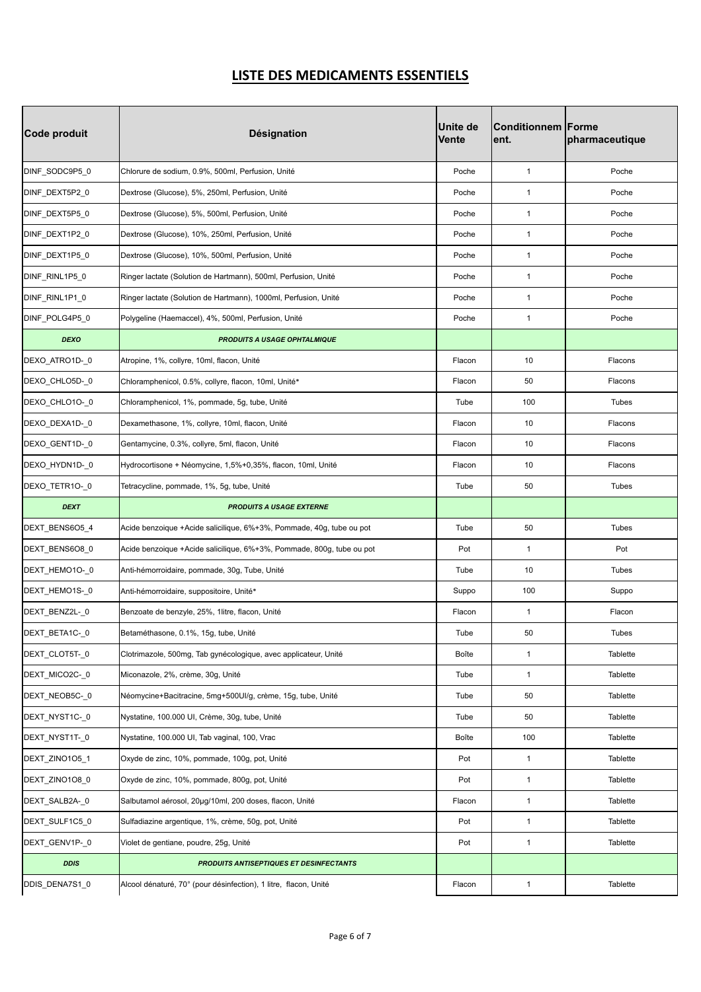| Code produit   | <b>Désignation</b>                                                    | <b>Unite de</b><br><b>Vente</b> | Conditionnem Forme<br>ent. | pharmaceutique |
|----------------|-----------------------------------------------------------------------|---------------------------------|----------------------------|----------------|
| DINF_SODC9P5_0 | Chlorure de sodium, 0.9%, 500ml, Perfusion, Unité                     | Poche                           | $\mathbf{1}$               | Poche          |
| DINF DEXT5P2 0 | Dextrose (Glucose), 5%, 250ml, Perfusion, Unité                       | Poche                           | $\mathbf{1}$               | Poche          |
| DINF_DEXT5P5_0 | Dextrose (Glucose), 5%, 500ml, Perfusion, Unité                       | Poche                           | $\mathbf{1}$               | Poche          |
| DINF_DEXT1P2_0 | Dextrose (Glucose), 10%, 250ml, Perfusion, Unité                      | Poche                           | $\mathbf{1}$               | Poche          |
| DINF_DEXT1P5_0 | Dextrose (Glucose), 10%, 500ml, Perfusion, Unité                      | Poche                           | $\mathbf{1}$               | Poche          |
| DINF_RINL1P5_0 | Ringer lactate (Solution de Hartmann), 500ml, Perfusion, Unité        | Poche                           | $\mathbf{1}$               | Poche          |
| DINF_RINL1P1_0 | Ringer lactate (Solution de Hartmann), 1000ml, Perfusion, Unité       | Poche                           | $\mathbf{1}$               | Poche          |
| DINF_POLG4P5_0 | Polygeline (Haemaccel), 4%, 500ml, Perfusion, Unité                   | Poche                           | $\mathbf{1}$               | Poche          |
| <b>DEXO</b>    | <b>PRODUITS A USAGE OPHTALMIQUE</b>                                   |                                 |                            |                |
| DEXO_ATRO1D-_0 | Atropine, 1%, collyre, 10ml, flacon, Unité                            | Flacon                          | 10                         | Flacons        |
| DEXO_CHLO5D-_0 | Chloramphenicol, 0.5%, collyre, flacon, 10ml, Unité*                  | Flacon                          | 50                         | Flacons        |
| DEXO CHLO10-0  | Chloramphenicol, 1%, pommade, 5g, tube, Unité                         | Tube                            | 100                        | <b>Tubes</b>   |
| DEXO_DEXA1D-_0 | Dexamethasone, 1%, collyre, 10ml, flacon, Unité                       | Flacon                          | 10                         | Flacons        |
| DEXO_GENT1D-_0 | Gentamycine, 0.3%, collyre, 5ml, flacon, Unité                        | Flacon                          | 10                         | Flacons        |
| DEXO_HYDN1D-_0 | Hydrocortisone + Néomycine, 1,5%+0,35%, flacon, 10ml, Unité           | Flacon                          | 10                         | Flacons        |
| DEXO_TETR1O-_0 | Tetracycline, pommade, 1%, 5g, tube, Unité                            | Tube                            | 50                         | Tubes          |
| <b>DEXT</b>    | <b>PRODUITS A USAGE EXTERNE</b>                                       |                                 |                            |                |
| DEXT_BENS6O5_4 | Acide benzoique +Acide salicilique, 6%+3%, Pommade, 40g, tube ou pot  | Tube                            | 50                         | <b>Tubes</b>   |
| DEXT_BENS6O8_0 | Acide benzoique +Acide salicilique, 6%+3%, Pommade, 800g, tube ou pot | Pot                             | $\mathbf{1}$               | Pot            |
| DEXT_HEMO1O-_0 | Anti-hémorroidaire, pommade, 30g, Tube, Unité                         | Tube                            | 10                         | Tubes          |
| DEXT HEMO1S-0  | Anti-hémorroidaire, suppositoire, Unité*                              | Suppo                           | 100                        | Suppo          |
| DEXT_BENZ2L-_0 | Benzoate de benzyle, 25%, 1litre, flacon, Unité                       | Flacon                          | $\mathbf{1}$               | Flacon         |
| DEXT_BETA1C-_0 | Betaméthasone, 0.1%, 15g, tube, Unité                                 | Tube                            | 50                         | Tubes          |
| DEXT_CLOT5T-_0 | Clotrimazole, 500mg, Tab gynécologique, avec applicateur, Unité       | Boîte                           | $\mathbf{1}$               | Tablette       |
| DEXT_MICO2C-_0 | Miconazole, 2%, crème, 30g, Unité                                     | Tube                            | $\mathbf{1}$               | Tablette       |
| DEXT_NEOB5C-_0 | Néomycine+Bacitracine, 5mg+500UI/g, crème, 15g, tube, Unité           | Tube                            | 50                         | Tablette       |
| DEXT_NYST1C-_0 | Nystatine, 100.000 UI, Crème, 30g, tube, Unité                        | Tube                            | 50                         | Tablette       |
| DEXT_NYST1T-_0 | Nystatine, 100.000 UI, Tab vaginal, 100, Vrac                         | Boîte                           | 100                        | Tablette       |
| DEXT_ZINO105_1 | Oxyde de zinc, 10%, pommade, 100g, pot, Unité                         | Pot                             | $\mathbf{1}$               | Tablette       |
| DEXT_ZINO1O8_0 | Oxyde de zinc, 10%, pommade, 800q, pot, Unité                         | Pot                             | $\mathbf{1}$               | Tablette       |
| DEXT_SALB2A-_0 | Salbutamol aérosol, 20µg/10ml, 200 doses, flacon, Unité               | Flacon                          | $\mathbf{1}$               | Tablette       |
| DEXT_SULF1C5_0 | Sulfadiazine argentique, 1%, crème, 50g, pot, Unité                   | Pot                             | $\mathbf{1}$               | Tablette       |
| DEXT GENV1P-0  | Violet de gentiane, poudre, 25g, Unité                                | Pot                             | $\mathbf{1}$               | Tablette       |
| <b>DDIS</b>    | <b>PRODUITS ANTISEPTIQUES ET DESINFECTANTS</b>                        |                                 |                            |                |
| DDIS_DENA7S1_0 | Alcool dénaturé, 70° (pour désinfection), 1 litre, flacon, Unité      | Flacon                          | $\mathbf{1}$               | Tablette       |